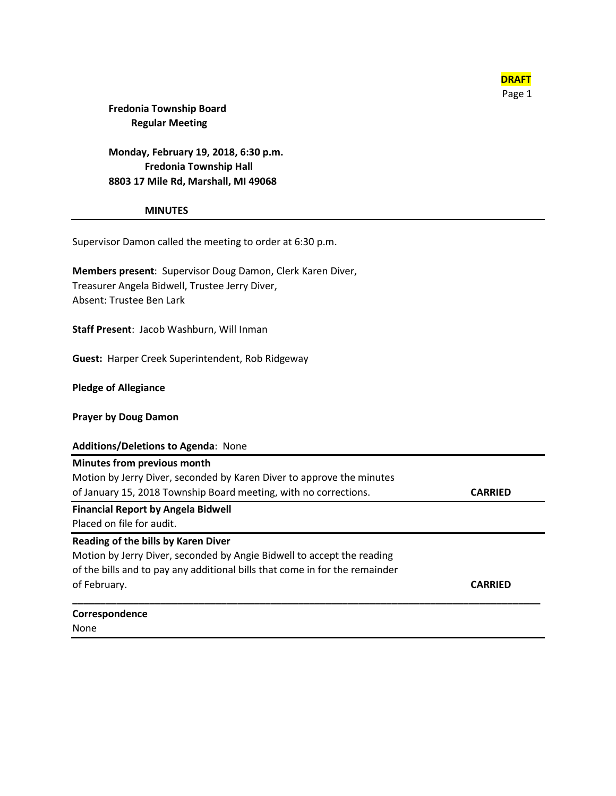

### **Fredonia Township Board Regular Meeting**

**Monday, February 19, 2018, 6:30 p.m. Fredonia Township Hall 8803 17 Mile Rd, Marshall, MI 49068**

**MINUTES**

Supervisor Damon called the meeting to order at 6:30 p.m.

**Members present**: Supervisor Doug Damon, Clerk Karen Diver, Treasurer Angela Bidwell, Trustee Jerry Diver, Absent: Trustee Ben Lark

**Staff Present**: Jacob Washburn, Will Inman

**Guest:** Harper Creek Superintendent, Rob Ridgeway

**Pledge of Allegiance**

**Prayer by Doug Damon**

#### **Additions/Deletions to Agenda**: None

| <b>Minutes from previous month</b>                                    |                |
|-----------------------------------------------------------------------|----------------|
| Motion by Jerry Diver, seconded by Karen Diver to approve the minutes |                |
| of January 15, 2018 Township Board meeting, with no corrections.      | <b>CARRIED</b> |
| <b>Financial Report by Angela Bidwell</b>                             |                |
| Placed on file for audit.                                             |                |

**\_\_\_\_\_\_\_\_\_\_\_\_\_\_\_\_\_\_\_\_\_\_\_\_\_\_\_\_\_\_\_\_\_\_\_\_\_\_\_\_\_\_\_\_\_\_\_\_\_\_\_\_\_\_\_\_\_\_\_\_\_\_\_\_\_\_\_\_\_\_\_\_\_\_\_\_\_\_\_\_\_\_\_\_\_**

#### **Reading of the bills by Karen Diver**

Motion by Jerry Diver, seconded by Angie Bidwell to accept the reading of the bills and to pay any additional bills that come in for the remainder of February. **CARRIED**

# **Correspondence**

None